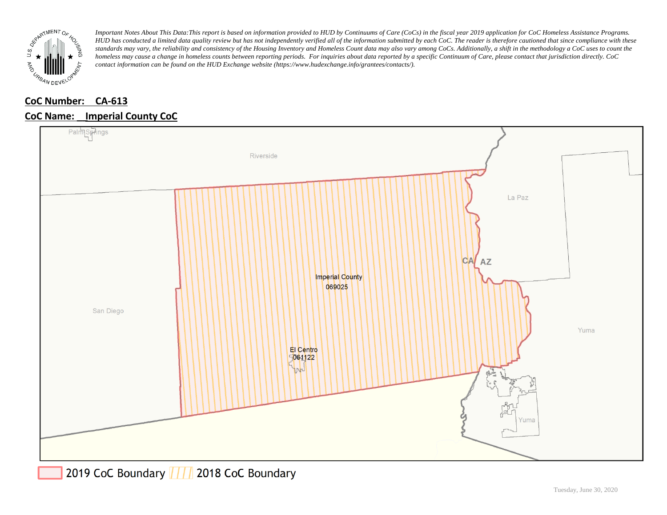

*Important Notes About This Data:This report is based on information provided to HUD by Continuums of Care (CoCs) in the fiscal year 2019 application for CoC Homeless Assistance Programs. HUD has conducted a limited data quality review but has not independently verified all of the information submitted by each CoC. The reader is therefore cautioned that since compliance with these*  standards may vary, the reliability and consistency of the Housing Inventory and Homeless Count data may also vary among CoCs. Additionally, a shift in the methodology a CoC uses to count the *homeless may cause a change in homeless counts between reporting periods. For inquiries about data reported by a specific Continuum of Care, please contact that jurisdiction directly. CoC contact information can be found on the HUD Exchange website (https://www.hudexchange.info/grantees/contacts/).*

## **CoC Number: CA-613**

## **CoC Name: \_\_ Imperial County CoC**



2019 CoC Boundary | | | 2018 CoC Boundary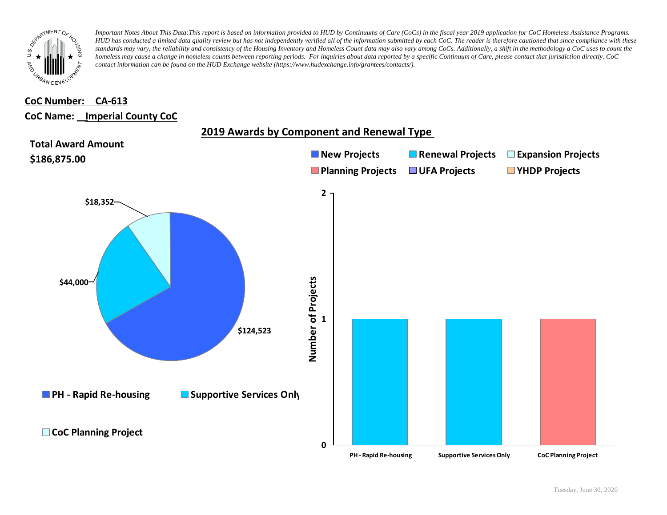

*Important Notes About This Data:This report is based on information provided to HUD by Continuums of Care (CoCs) in the fiscal year 2019 application for CoC Homeless Assistance Programs. HUD has conducted a limited data quality review but has not independently verified all of the information submitted by each CoC. The reader is therefore cautioned that since compliance with these*  standards may vary, the reliability and consistency of the Housing Inventory and Homeless Count data may also vary among CoCs. Additionally, a shift in the methodology a CoC uses to count the *homeless may cause a change in homeless counts between reporting periods. For inquiries about data reported by a specific Continuum of Care, please contact that jurisdiction directly. CoC contact information can be found on the HUD Exchange website (https://www.hudexchange.info/grantees/contacts/).*

## **CoC Number: CA-613 CoC Name: \_\_ Imperial County CoC**

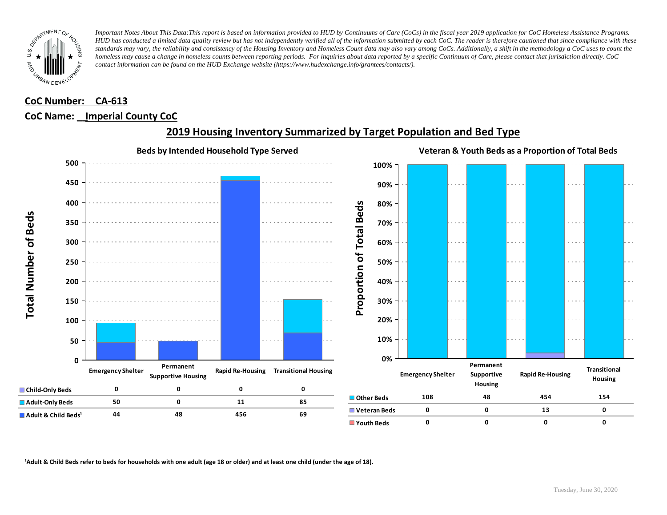

*Important Notes About This Data:This report is based on information provided to HUD by Continuums of Care (CoCs) in the fiscal year 2019 application for CoC Homeless Assistance Programs. HUD has conducted a limited data quality review but has not independently verified all of the information submitted by each CoC. The reader is therefore cautioned that since compliance with these standards may vary, the reliability and consistency of the Housing Inventory and Homeless Count data may also vary among CoCs. Additionally, a shift in the methodology a CoC uses to count the homeless may cause a change in homeless counts between reporting periods. For inquiries about data reported by a specific Continuum of Care, please contact that jurisdiction directly. CoC contact information can be found on the HUD Exchange website (https://www.hudexchange.info/grantees/contacts/).*

## **CoC Number: CA-613 CoC Name: \_\_ Imperial County CoC**



## **2019 Housing Inventory Summarized by Target Population and Bed Type**

<sup>1</sup> Adult & Child Beds refer to beds for households with one adult (age 18 or older) and at least one child (under the age of 18).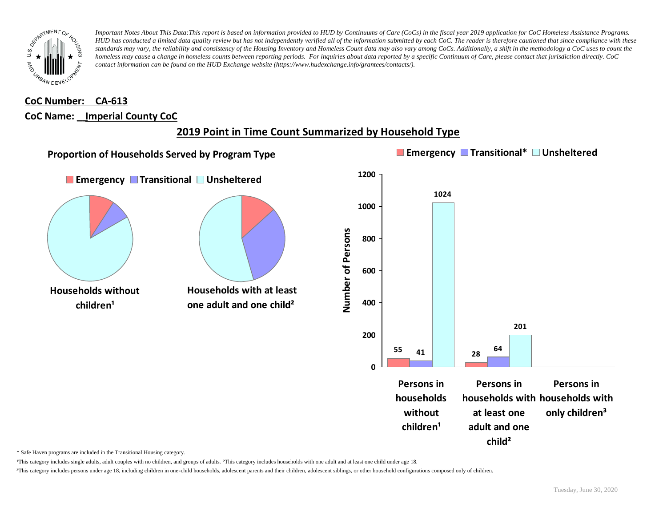

*Important Notes About This Data:This report is based on information provided to HUD by Continuums of Care (CoCs) in the fiscal year 2019 application for CoC Homeless Assistance Programs. HUD has conducted a limited data quality review but has not independently verified all of the information submitted by each CoC. The reader is therefore cautioned that since compliance with these standards may vary, the reliability and consistency of the Housing Inventory and Homeless Count data may also vary among CoCs. Additionally, a shift in the methodology a CoC uses to count the homeless may cause a change in homeless counts between reporting periods. For inquiries about data reported by a specific Continuum of Care, please contact that jurisdiction directly. CoC contact information can be found on the HUD Exchange website (https://www.hudexchange.info/grantees/contacts/).*

## **CoC Number: CA-613 CoC Name: \_\_ Imperial County CoC**

# **2019 Point in Time Count Summarized by Household Type**



\* Safe Haven programs are included in the Transitional Housing category.

¹This category includes single adults, adult couples with no children, and groups of adults. ²This category includes households with one adult and at least one child under age 18.

³This category includes persons under age 18, including children in one-child households, adolescent parents and their children, adolescent siblings, or other household configurations composed only of children.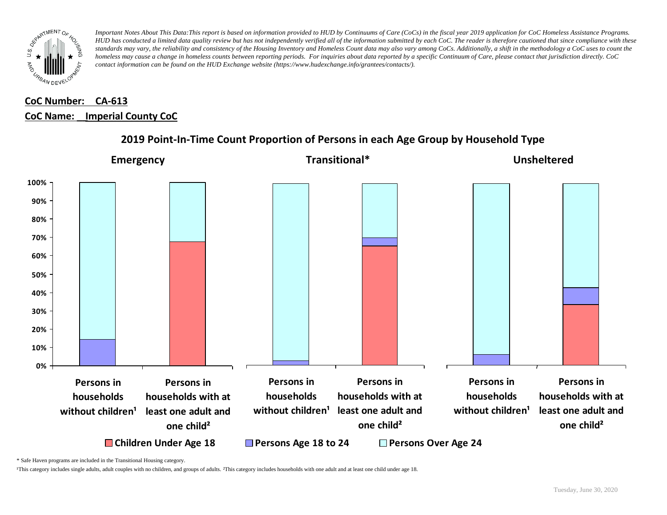

*Important Notes About This Data:This report is based on information provided to HUD by Continuums of Care (CoCs) in the fiscal year 2019 application for CoC Homeless Assistance Programs. HUD has conducted a limited data quality review but has not independently verified all of the information submitted by each CoC. The reader is therefore cautioned that since compliance with these standards may vary, the reliability and consistency of the Housing Inventory and Homeless Count data may also vary among CoCs. Additionally, a shift in the methodology a CoC uses to count the homeless may cause a change in homeless counts between reporting periods. For inquiries about data reported by a specific Continuum of Care, please contact that jurisdiction directly. CoC contact information can be found on the HUD Exchange website (https://www.hudexchange.info/grantees/contacts/).*

# **CoC Number: CA-613 CoC Name: \_\_ Imperial County CoC**



## **2019 Point-In-Time Count Proportion of Persons in each Age Group by Household Type**

\* Safe Haven programs are included in the Transitional Housing category.

¹This category includes single adults, adult couples with no children, and groups of adults. ²This category includes households with one adult and at least one child under age 18.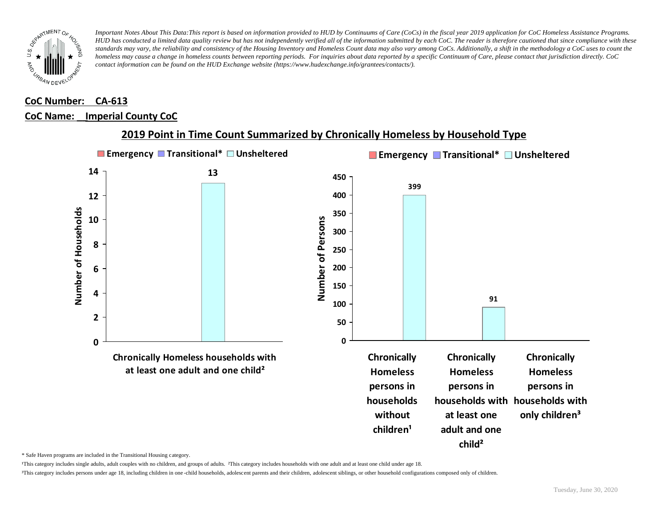

*Important Notes About This Data:This report is based on information provided to HUD by Continuums of Care (CoCs) in the fiscal year 2019 application for CoC Homeless Assistance Programs.*  HUD has conducted a limited data quality review but has not independently verified all of the information submitted by each CoC. The reader is therefore cautioned that since compliance with these *standards may vary, the reliability and consistency of the Housing Inventory and Homeless Count data may also vary among CoCs. Additionally, a shift in the methodology a CoC uses to count the homeless may cause a change in homeless counts between reporting periods. For inquiries about data reported by a specific Continuum of Care, please contact that jurisdiction directly. CoC contact information can be found on the HUD Exchange website (https://www.hudexchange.info/grantees/contacts/).*

#### **CoC Number: CA-613**

#### **CoC Name: \_\_ Imperial County CoC**



#### **2019 Point in Time Count Summarized by Chronically Homeless by Household Type**

\* Safe Haven programs are included in the Transitional Housing category.

¹This category includes single adults, adult couples with no children, and groups of adults. ²This category includes households with one adult and at least one child under age 18.

³This category includes persons under age 18, including children in one -child households, adolescent parents and their children, adolescent siblings, or other household configurations composed only of children.